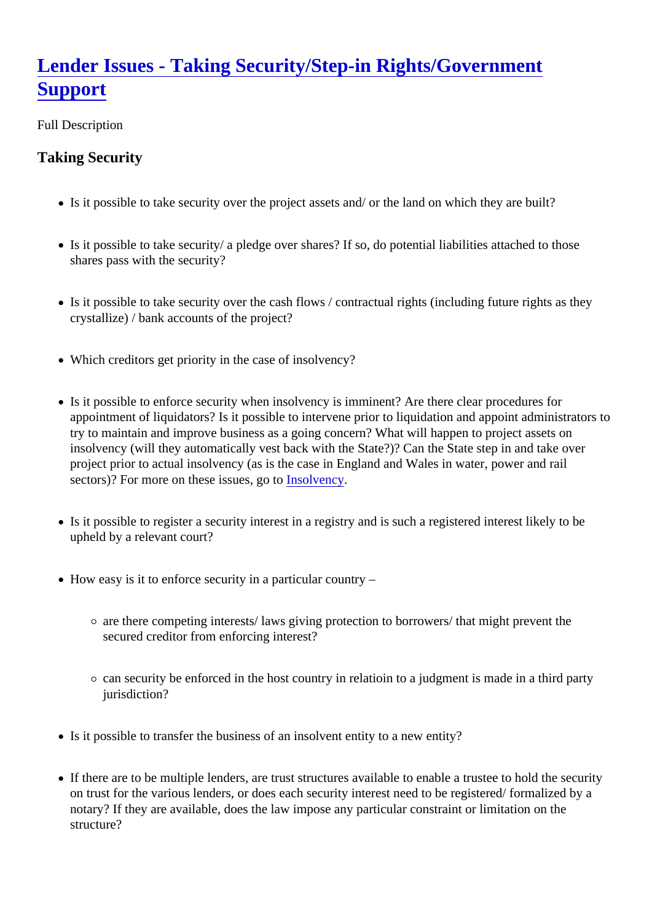## Lender Issues - Taking Security/Step-in Rights/Government **[Support](https://ppp.worldbank.org/public-private-partnership/legislation-regulation/framework-assessment/legal-environment/lender-issues-step-in-rights)**

Full Description

Taking Security

- Is it possible to take security over the project assets and/ or the land on which they are built?
- Is it possible to take security/ a pledge over shares? If so, do potential liabilities attached to those shares pass with the security?
- Is it possible to take security over the cash flows / contractual rights (including future rights as they crystallize) / bank accounts of the project?
- Which creditors get priority in the case of insolvency?
- Is it possible to enforce security when insolvency is imminent? Are there clear procedures for appointment of liquidators? Is it possible to intervene prior to liquidation and appoint administrators to try to maintain and improve business as a going concern? What will happen to project assets on insolvency (will they automatically vest back with the State?)? Can the State step in and take over project prior to actual insolvency (as is the case in England and Wales in water, power and rail sectors)? For more on these issues, dostolvency
- Is it possible to register a security interest in a registry and is such a registered interest likely to be upheld by a relevant court?
- How easy is it to enforce security in a particular country -
	- $\circ$  are there competing interests/ laws giving protection to borrowers/ that might prevent the secured creditor from enforcing interest?
	- $\circ$  can security be enforced in the host country in relatioin to a judgment is made in a third party jurisdiction?
- Is it possible to transfer the business of an insolvent entity to a new entity?
- If there are to be multiple lenders, are trust structures available to enable a trustee to hold the security on trust for the various lenders, or does each security interest need to be registered/ formalized by a notary? If they are available, does the law impose any particular constraint or limitation on the structure?